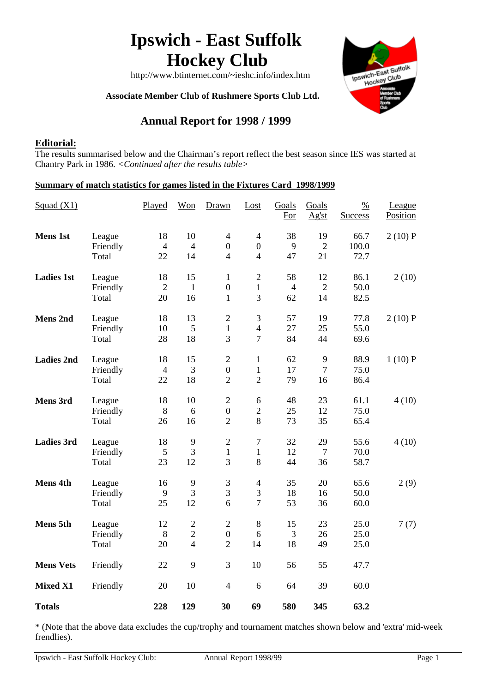# **Ipswich - East Suffolk Hockey Club**

Ipswich-East Suffolk Wich-East Sun<br>Hockey Club

http://www.btinternet.com/~ieshc.info/index.htm

 **Associate Member Club of Rushmere Sports Club Ltd.**

## **Annual Report for 1998 / 1999**

## **Editorial:**

The results summarised below and the Chairman's report reflect the best season since IES was started at Chantry Park in 1986. *<Continued after the results table>*

#### **Summary of match statistics for games listed in the Fixtures Card 1998/1999**

| Squad $(X1)$      |                             | Played                     | Won                                        | Drawn                                                | Lost                                                 | Goals<br>For               | Goals<br>Ag'st             | $\frac{0}{0}$<br><b>Success</b> | League<br>Position |
|-------------------|-----------------------------|----------------------------|--------------------------------------------|------------------------------------------------------|------------------------------------------------------|----------------------------|----------------------------|---------------------------------|--------------------|
| <b>Mens 1st</b>   | League<br>Friendly<br>Total | 18<br>$\overline{4}$<br>22 | 10<br>$\overline{4}$<br>14                 | $\overline{4}$<br>$\boldsymbol{0}$<br>$\overline{4}$ | $\overline{4}$<br>$\boldsymbol{0}$<br>$\overline{4}$ | 38<br>9<br>47              | 19<br>$\overline{2}$<br>21 | 66.7<br>100.0<br>72.7           | 2(10)P             |
| <b>Ladies 1st</b> | League<br>Friendly<br>Total | 18<br>$\overline{2}$<br>20 | 15<br>$\mathbf{1}$<br>16                   | $\mathbf{1}$<br>$\boldsymbol{0}$<br>$\mathbf{1}$     | $\sqrt{2}$<br>$\mathbf{1}$<br>3                      | 58<br>$\overline{4}$<br>62 | 12<br>$\overline{2}$<br>14 | 86.1<br>50.0<br>82.5            | 2(10)              |
| <b>Mens 2nd</b>   | League<br>Friendly<br>Total | 18<br>10<br>28             | 13<br>5<br>18                              | $\overline{2}$<br>$\mathbf{1}$<br>3                  | 3<br>$\overline{4}$<br>$\overline{7}$                | 57<br>27<br>84             | 19<br>25<br>44             | 77.8<br>55.0<br>69.6            | 2(10)P             |
| <b>Ladies 2nd</b> | League<br>Friendly<br>Total | 18<br>$\overline{4}$<br>22 | 15<br>3<br>18                              | $\overline{2}$<br>$\boldsymbol{0}$<br>$\overline{2}$ | $\mathbf{1}$<br>$\mathbf{1}$<br>$\overline{2}$       | 62<br>17<br>79             | 9<br>$\overline{7}$<br>16  | 88.9<br>75.0<br>86.4            | 1(10)P             |
| Mens 3rd          | League<br>Friendly<br>Total | 18<br>$8\,$<br>26          | 10<br>6<br>16                              | $\mathbf{2}$<br>$\boldsymbol{0}$<br>$\overline{2}$   | $\sqrt{6}$<br>$\overline{c}$<br>8                    | 48<br>25<br>73             | 23<br>12<br>35             | 61.1<br>75.0<br>65.4            | 4(10)              |
| <b>Ladies 3rd</b> | League<br>Friendly<br>Total | 18<br>5<br>23              | 9<br>3<br>12                               | $\mathbf{2}$<br>$\mathbf{1}$<br>3                    | $\tau$<br>$\mathbf{1}$<br>8                          | 32<br>12<br>44             | 29<br>$\overline{7}$<br>36 | 55.6<br>70.0<br>58.7            | 4(10)              |
| Mens 4th          | League<br>Friendly<br>Total | 16<br>9<br>25              | 9<br>$\mathfrak{Z}$<br>12                  | 3<br>3<br>6                                          | $\overline{4}$<br>3<br>$\overline{7}$                | 35<br>18<br>53             | 20<br>16<br>36             | 65.6<br>50.0<br>60.0            | 2(9)               |
| Mens 5th          | League<br>Friendly<br>Total | 12<br>$8\,$<br>20          | $\sqrt{2}$<br>$\sqrt{2}$<br>$\overline{4}$ | $\overline{2}$<br>$\boldsymbol{0}$<br>$\overline{2}$ | $8\,$<br>6<br>14                                     | 15<br>3<br>18              | 23<br>26<br>49             | 25.0<br>25.0<br>25.0            | 7(7)               |
| <b>Mens Vets</b>  | Friendly                    | 22                         | 9                                          | 3                                                    | 10                                                   | 56                         | 55                         | 47.7                            |                    |
| <b>Mixed X1</b>   | Friendly                    | 20                         | 10                                         | $\overline{4}$                                       | 6                                                    | 64                         | 39                         | 60.0                            |                    |
| <b>Totals</b>     |                             | 228                        | 129                                        | 30                                                   | 69                                                   | 580                        | 345                        | 63.2                            |                    |

\* (Note that the above data excludes the cup/trophy and tournament matches shown below and 'extra' mid-week frendlies).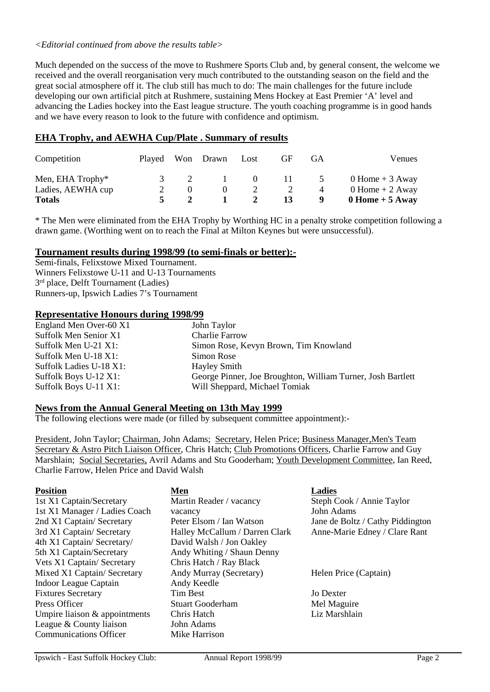#### *<Editorial continued from above the results table>*

Much depended on the success of the move to Rushmere Sports Club and, by general consent, the welcome we received and the overall reorganisation very much contributed to the outstanding season on the field and the great social atmosphere off it. The club still has much to do: The main challenges for the future include developing our own artificial pitch at Rushmere, sustaining Mens Hockey at East Premier 'A' level and advancing the Ladies hockey into the East league structure. The youth coaching programme is in good hands and we have every reason to look to the future with confidence and optimism.

## **EHA Trophy, and AEWHA Cup/Plate . Summary of results**

| Competition                           |  | Played Won Drawn Lost |          | GF.          | GA <sup>(</sup>                  | <b>Venues</b>                          |
|---------------------------------------|--|-----------------------|----------|--------------|----------------------------------|----------------------------------------|
| Men, EHA Trophy*<br>Ladies, AEWHA cup |  |                       | $\Omega$ | $\mathbf{H}$ | $\overline{z}$<br>$\overline{4}$ | $0$ Home + 3 Away<br>$0$ Home + 2 Away |
| <b>Totals</b>                         |  |                       |          | 13           | -9                               | $0$ Home + 5 Away                      |

\* The Men were eliminated from the EHA Trophy by Worthing HC in a penalty stroke competition following a drawn game. (Worthing went on to reach the Final at Milton Keynes but were unsuccessful).

#### **Tournament results during 1998/99 (to semi-finals or better):-**

Semi-finals, Felixstowe Mixed Tournament. Winners Felixstowe U-11 and U-13 Tournaments 3<sup>rd</sup> place, Delft Tournament (Ladies) Runners-up, Ipswich Ladies 7's Tournament

#### **Representative Honours during 1998/99**

| England Men Over-60 X1  | John Taylor                                                 |
|-------------------------|-------------------------------------------------------------|
| Suffolk Men Senior X1   | <b>Charlie Farrow</b>                                       |
| Suffolk Men U-21 X1:    | Simon Rose, Kevyn Brown, Tim Knowland                       |
| Suffolk Men U-18 X1:    | Simon Rose                                                  |
| Suffolk Ladies U-18 X1: | Hayley Smith                                                |
| Suffolk Boys U-12 X1:   | George Pinner, Joe Broughton, William Turner, Josh Bartlett |
| Suffolk Boys U-11 X1:   | Will Sheppard, Michael Tomiak                               |

#### **News from the Annual General Meeting on 13th May 1999**

The following elections were made (or filled by subsequent committee appointment):-

President, John Taylor; Chairman, John Adams; Secretary, Helen Price; Business Manager, Men's Team Secretary & Astro Pitch Liaison Officer, Chris Hatch; Club Promotions Officers, Charlie Farrow and Guy Marshlain; Social Secretaries, Avril Adams and Stu Gooderham; Youth Development Committee, Ian Reed, Charlie Farrow, Helen Price and David Walsh

| <b>Position</b>                 | Men                            | <b>Ladies</b>                    |
|---------------------------------|--------------------------------|----------------------------------|
| 1st X1 Captain/Secretary        | Martin Reader / vacancy        | Steph Cook / Annie Taylor        |
| 1st X1 Manager / Ladies Coach   | vacancy                        | John Adams                       |
| 2nd X1 Captain/ Secretary       | Peter Elsom / Ian Watson       | Jane de Boltz / Cathy Piddington |
| 3rd X1 Captain/Secretary        | Halley McCallum / Darren Clark | Anne-Marie Edney / Clare Rant    |
| 4th X1 Captain/ Secretary/      | David Walsh / Jon Oakley       |                                  |
| 5th X1 Captain/Secretary        | Andy Whiting / Shaun Denny     |                                  |
| Vets X1 Captain/ Secretary      | Chris Hatch / Ray Black        |                                  |
| Mixed X1 Captain/ Secretary     | Andy Murray (Secretary)        | Helen Price (Captain)            |
| Indoor League Captain           | Andy Keedle                    |                                  |
| <b>Fixtures Secretary</b>       | Tim Best                       | Jo Dexter                        |
| Press Officer                   | <b>Stuart Gooderham</b>        | Mel Maguire                      |
| Umpire liaison $&$ appointments | Chris Hatch                    | Liz Marshlain                    |
| League & County liaison         | John Adams                     |                                  |
| <b>Communications Officer</b>   | Mike Harrison                  |                                  |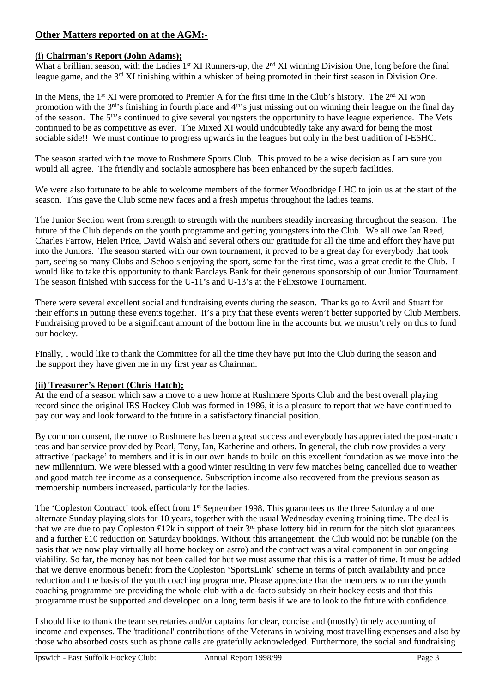## **Other Matters reported on at the AGM:-**

#### **(i) Chairman's Report (John Adams);**

What a brilliant season, with the Ladies  $1^{st}$  XI Runners-up, the  $2^{nd}$  XI winning Division One, long before the final league game, and the 3rd XI finishing within a whisker of being promoted in their first season in Division One.

In the Mens, the 1<sup>st</sup> XI were promoted to Premier A for the first time in the Club's history. The  $2<sup>nd</sup>$  XI won promotion with the 3<sup>rd</sup>'s finishing in fourth place and 4<sup>th</sup>'s just missing out on winning their league on the final day of the season. The 5th's continued to give several youngsters the opportunity to have league experience. The Vets continued to be as competitive as ever. The Mixed XI would undoubtedly take any award for being the most sociable side!! We must continue to progress upwards in the leagues but only in the best tradition of I-ESHC.

The season started with the move to Rushmere Sports Club. This proved to be a wise decision as I am sure you would all agree. The friendly and sociable atmosphere has been enhanced by the superb facilities.

We were also fortunate to be able to welcome members of the former Woodbridge LHC to join us at the start of the season. This gave the Club some new faces and a fresh impetus throughout the ladies teams.

The Junior Section went from strength to strength with the numbers steadily increasing throughout the season. The future of the Club depends on the youth programme and getting youngsters into the Club. We all owe Ian Reed, Charles Farrow, Helen Price, David Walsh and several others our gratitude for all the time and effort they have put into the Juniors. The season started with our own tournament, it proved to be a great day for everybody that took part, seeing so many Clubs and Schools enjoying the sport, some for the first time, was a great credit to the Club. I would like to take this opportunity to thank Barclays Bank for their generous sponsorship of our Junior Tournament. The season finished with success for the U-11's and U-13's at the Felixstowe Tournament.

There were several excellent social and fundraising events during the season. Thanks go to Avril and Stuart for their efforts in putting these events together. It's a pity that these events weren't better supported by Club Members. Fundraising proved to be a significant amount of the bottom line in the accounts but we mustn't rely on this to fund our hockey.

Finally, I would like to thank the Committee for all the time they have put into the Club during the season and the support they have given me in my first year as Chairman.

#### **(ii) Treasurer's Report (Chris Hatch);**

At the end of a season which saw a move to a new home at Rushmere Sports Club and the best overall playing record since the original IES Hockey Club was formed in 1986, it is a pleasure to report that we have continued to pay our way and look forward to the future in a satisfactory financial position.

By common consent, the move to Rushmere has been a great success and everybody has appreciated the post-match teas and bar service provided by Pearl, Tony, Ian, Katherine and others. In general, the club now provides a very attractive 'package' to members and it is in our own hands to build on this excellent foundation as we move into the new millennium. We were blessed with a good winter resulting in very few matches being cancelled due to weather and good match fee income as a consequence. Subscription income also recovered from the previous season as membership numbers increased, particularly for the ladies.

The 'Copleston Contract' took effect from 1<sup>st</sup> September 1998. This guarantees us the three Saturday and one alternate Sunday playing slots for 10 years, together with the usual Wednesday evening training time. The deal is that we are due to pay Copleston £12k in support of their 3<sup>rd</sup> phase lottery bid in return for the pitch slot guarantees and a further £10 reduction on Saturday bookings. Without this arrangement, the Club would not be runable (on the basis that we now play virtually all home hockey on astro) and the contract was a vital component in our ongoing viability. So far, the money has not been called for but we must assume that this is a matter of time. It must be added that we derive enormous benefit from the Copleston 'SportsLink' scheme in terms of pitch availability and price reduction and the basis of the youth coaching programme. Please appreciate that the members who run the youth coaching programme are providing the whole club with a de-facto subsidy on their hockey costs and that this programme must be supported and developed on a long term basis if we are to look to the future with confidence.

I should like to thank the team secretaries and/or captains for clear, concise and (mostly) timely accounting of income and expenses. The 'traditional' contributions of the Veterans in waiving most travelling expenses and also by those who absorbed costs such as phone calls are gratefully acknowledged. Furthermore, the social and fundraising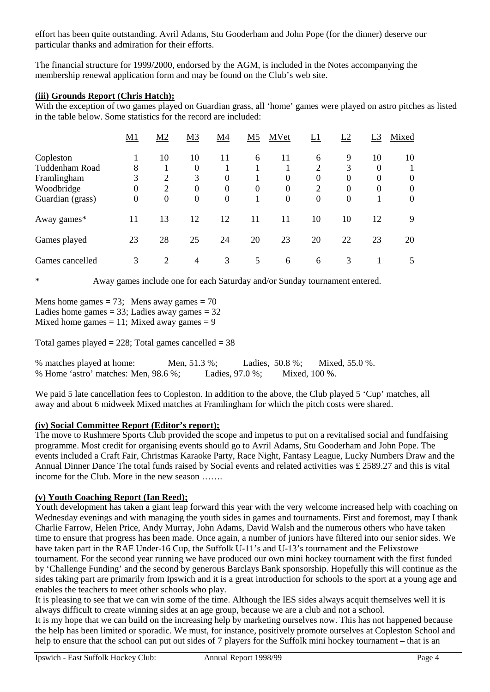effort has been quite outstanding. Avril Adams, Stu Gooderham and John Pope (for the dinner) deserve our particular thanks and admiration for their efforts.

The financial structure for 1999/2000, endorsed by the AGM, is included in the Notes accompanying the membership renewal application form and may be found on the Club's web site.

#### **(iii) Grounds Report (Chris Hatch);**

With the exception of two games played on Guardian grass, all 'home' games were played on astro pitches as listed in the table below. Some statistics for the record are included:

|                  | <u>M1</u> | M <sub>2</sub> | M <sub>3</sub> | M4       | M <sub>5</sub> | MVet     | L1             | L2       | L <sub>3</sub> | Mixed    |
|------------------|-----------|----------------|----------------|----------|----------------|----------|----------------|----------|----------------|----------|
| Copleston        |           | 10             | 10             | 11       | 6              | 11       | 6              | 9        | 10             | 10       |
| Tuddenham Road   | 8         |                | 0              |          |                |          | $\overline{c}$ | 3        | $\Omega$       |          |
| Framlingham      | 3         | $\overline{2}$ | 3              | $\theta$ |                | $\theta$ | $\theta$       | $\theta$ | $\Omega$       | 0        |
| Woodbridge       | 0         | $\overline{2}$ | 0              | $\theta$ | $\Omega$       | $\theta$ | $\overline{2}$ | 0        | $\Omega$       | 0        |
| Guardian (grass) | $\theta$  | $\overline{0}$ | $\theta$       | $\theta$ |                | $\theta$ | $\overline{0}$ | $\theta$ |                | $\theta$ |
| Away games*      | 11        | 13             | 12             | 12       | 11             | 11       | 10             | 10       | 12             | 9        |
| Games played     | 23        | 28             | 25             | 24       | 20             | 23       | 20             | 22       | 23             | 20       |
| Games cancelled  | 3         | 2              | $\overline{4}$ | 3        | 5              | 6        | 6              | 3        |                | 5        |

\* Away games include one for each Saturday and/or Sunday tournament entered.

Mens home games  $= 73$ ; Mens away games  $= 70$ Ladies home games  $= 33$ ; Ladies away games  $= 32$ Mixed home games  $= 11$ ; Mixed away games  $= 9$ 

Total games played = 228; Total games cancelled =  $38$ 

% matches played at home: Men, 51.3 %; Ladies, 50.8 %; Mixed, 55.0 %. % Home 'astro' matches: Men, 98.6 %; Ladies, 97.0 %; Mixed, 100 %.

We paid 5 late cancellation fees to Copleston. In addition to the above, the Club played 5 'Cup' matches, all away and about 6 midweek Mixed matches at Framlingham for which the pitch costs were shared.

#### **(iv) Social Committee Report (Editor's report);**

The move to Rushmere Sports Club provided the scope and impetus to put on a revitalised social and fundfaising programme. Most credit for organising events should go to Avril Adams, Stu Gooderham and John Pope. The events included a Craft Fair, Christmas Karaoke Party, Race Night, Fantasy League, Lucky Numbers Draw and the Annual Dinner Dance The total funds raised by Social events and related activities was £ 2589.27 and this is vital income for the Club. More in the new season …….

#### **(v) Youth Coaching Report (Ian Reed);**

Youth development has taken a giant leap forward this year with the very welcome increased help with coaching on Wednesday evenings and with managing the youth sides in games and tournaments. First and foremost, may I thank Charlie Farrow, Helen Price, Andy Murray, John Adams, David Walsh and the numerous others who have taken time to ensure that progress has been made. Once again, a number of juniors have filtered into our senior sides. We have taken part in the RAF Under-16 Cup, the Suffolk U-11's and U-13's tournament and the Felixstowe tournament. For the second year running we have produced our own mini hockey tournament with the first funded by 'Challenge Funding' and the second by generous Barclays Bank sponsorship. Hopefully this will continue as the sides taking part are primarily from Ipswich and it is a great introduction for schools to the sport at a young age and enables the teachers to meet other schools who play.

It is pleasing to see that we can win some of the time. Although the IES sides always acquit themselves well it is always difficult to create winning sides at an age group, because we are a club and not a school.

It is my hope that we can build on the increasing help by marketing ourselves now. This has not happened because the help has been limited or sporadic. We must, for instance, positively promote ourselves at Copleston School and help to ensure that the school can put out sides of 7 players for the Suffolk mini hockey tournament – that is an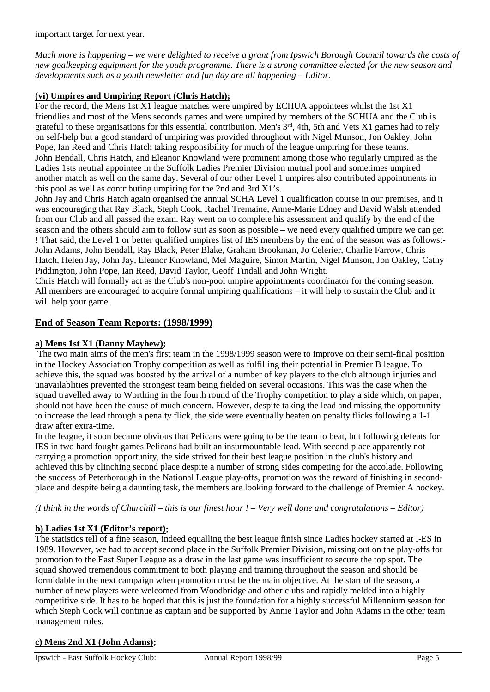important target for next year.

*Much more is happening – we were delighted to receive a grant from Ipswich Borough Council towards the costs of new goalkeeping equipment for the youth programme. There is a strong committee elected for the new season and developments such as a youth newsletter and fun day are all happening – Editor.* 

#### **(vi) Umpires and Umpiring Report (Chris Hatch);**

For the record, the Mens 1st X1 league matches were umpired by ECHUA appointees whilst the 1st X1 friendlies and most of the Mens seconds games and were umpired by members of the SCHUA and the Club is grateful to these organisations for this essential contribution. Men's 3rd, 4th, 5th and Vets X1 games had to rely on self-help but a good standard of umpiring was provided throughout with Nigel Munson, Jon Oakley, John Pope, Ian Reed and Chris Hatch taking responsibility for much of the league umpiring for these teams. John Bendall, Chris Hatch, and Eleanor Knowland were prominent among those who regularly umpired as the Ladies 1sts neutral appointee in the Suffolk Ladies Premier Division mutual pool and sometimes umpired another match as well on the same day. Several of our other Level 1 umpires also contributed appointments in this pool as well as contributing umpiring for the 2nd and 3rd X1's.

John Jay and Chris Hatch again organised the annual SCHA Level 1 qualification course in our premises, and it was encouraging that Ray Black, Steph Cook, Rachel Tremaine, Anne-Marie Edney and David Walsh attended from our Club and all passed the exam. Ray went on to complete his assessment and qualify by the end of the season and the others should aim to follow suit as soon as possible – we need every qualified umpire we can get ! That said, the Level 1 or better qualified umpires list of IES members by the end of the season was as follows:- John Adams, John Bendall, Ray Black, Peter Blake, Graham Brookman, Jo Celerier, Charlie Farrow, Chris Hatch, Helen Jay, John Jay, Eleanor Knowland, Mel Maguire, Simon Martin, Nigel Munson, Jon Oakley, Cathy Piddington, John Pope, Ian Reed, David Taylor, Geoff Tindall and John Wright.

Chris Hatch will formally act as the Club's non-pool umpire appointments coordinator for the coming season. All members are encouraged to acquire formal umpiring qualifications – it will help to sustain the Club and it will help your game.

#### **End of Season Team Reports: (1998/1999)**

#### **a) Mens 1st X1 (Danny Mayhew);**

The two main aims of the men's first team in the 1998/1999 season were to improve on their semi-final position in the Hockey Association Trophy competition as well as fulfilling their potential in Premier B league. To achieve this, the squad was boosted by the arrival of a number of key players to the club although injuries and unavailablities prevented the strongest team being fielded on several occasions. This was the case when the squad travelled away to Worthing in the fourth round of the Trophy competition to play a side which, on paper, should not have been the cause of much concern. However, despite taking the lead and missing the opportunity to increase the lead through a penalty flick, the side were eventually beaten on penalty flicks following a 1-1 draw after extra-time.

In the league, it soon became obvious that Pelicans were going to be the team to beat, but following defeats for IES in two hard fought games Pelicans had built an insurmountable lead. With second place apparently not carrying a promotion opportunity, the side strived for their best league position in the club's history and achieved this by clinching second place despite a number of strong sides competing for the accolade. Following the success of Peterborough in the National League play-offs, promotion was the reward of finishing in secondplace and despite being a daunting task, the members are looking forward to the challenge of Premier A hockey.

*(I think in the words of Churchill – this is our finest hour ! – Very well done and congratulations – Editor)*

#### **b) Ladies 1st X1 (Editor's report);**

The statistics tell of a fine season, indeed equalling the best league finish since Ladies hockey started at I-ES in 1989. However, we had to accept second place in the Suffolk Premier Division, missing out on the play-offs for promotion to the East Super League as a draw in the last game was insufficient to secure the top spot. The squad showed tremendous commitment to both playing and training throughout the season and should be formidable in the next campaign when promotion must be the main objective. At the start of the season, a number of new players were welcomed from Woodbridge and other clubs and rapidly melded into a highly competitive side. It has to be hoped that this is just the foundation for a highly successful Millennium season for which Steph Cook will continue as captain and be supported by Annie Taylor and John Adams in the other team management roles.

#### **c) Mens 2nd X1 (John Adams);**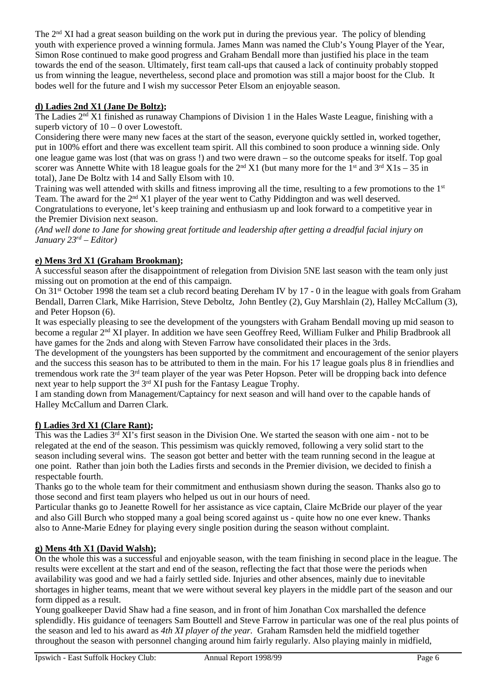The  $2<sup>nd</sup>$  XI had a great season building on the work put in during the previous year. The policy of blending youth with experience proved a winning formula. James Mann was named the Club's Young Player of the Year, Simon Rose continued to make good progress and Graham Bendall more than justified his place in the team towards the end of the season. Ultimately, first team call-ups that caused a lack of continuity probably stopped us from winning the league, nevertheless, second place and promotion was still a major boost for the Club. It bodes well for the future and I wish my successor Peter Elsom an enjoyable season.

## **d) Ladies 2nd X1 (Jane De Boltz);**

The Ladies 2<sup>nd</sup> X1 finished as runaway Champions of Division 1 in the Hales Waste League, finishing with a superb victory of  $10 - 0$  over Lowestoft.

Considering there were many new faces at the start of the season, everyone quickly settled in, worked together, put in 100% effort and there was excellent team spirit. All this combined to soon produce a winning side. Only one league game was lost (that was on grass !) and two were drawn – so the outcome speaks for itself. Top goal scorer was Annette White with 18 league goals for the  $2<sup>nd</sup> X1$  (but many more for the  $1<sup>st</sup>$  and  $3<sup>rd</sup> X1s - 35$  in total), Jane De Boltz with 14 and Sally Elsom with 10.

Training was well attended with skills and fitness improving all the time, resulting to a few promotions to the 1st Team. The award for the  $2<sup>nd</sup> X1$  player of the year went to Cathy Piddington and was well deserved. Congratulations to everyone, let's keep training and enthusiasm up and look forward to a competitive year in the Premier Division next season.

*(And well done to Jane for showing great fortitude and leadership after getting a dreadful facial injury on January 23rd – Editor)*

## **e) Mens 3rd X1 (Graham Brookman);**

A successful season after the disappointment of relegation from Division 5NE last season with the team only just missing out on promotion at the end of this campaign.

On 31<sup>st</sup> October 1998 the team set a club record beating Dereham IV by 17 - 0 in the league with goals from Graham Bendall, Darren Clark, Mike Harrision, Steve Deboltz, John Bentley (2), Guy Marshlain (2), Halley McCallum (3), and Peter Hopson (6).

It was especially pleasing to see the development of the youngsters with Graham Bendall moving up mid season to become a regular  $2<sup>nd</sup> XI$  player. In addition we have seen Geoffrey Reed, William Fulker and Philip Bradbrook all have games for the 2nds and along with Steven Farrow have consolidated their places in the 3rds.

The development of the youngsters has been supported by the commitment and encouragement of the senior players and the success this season has to be attributed to them in the main. For his 17 league goals plus 8 in friendlies and tremendous work rate the 3rd team player of the year was Peter Hopson. Peter will be dropping back into defence next year to help support the 3rd XI push for the Fantasy League Trophy.

I am standing down from Management/Captaincy for next season and will hand over to the capable hands of Halley McCallum and Darren Clark.

#### **f) Ladies 3rd X1 (Clare Rant);**

This was the Ladies  $3<sup>rd</sup> XI'$ s first season in the Division One. We started the season with one aim - not to be relegated at the end of the season. This pessimism was quickly removed, following a very solid start to the season including several wins. The season got better and better with the team running second in the league at one point. Rather than join both the Ladies firsts and seconds in the Premier division, we decided to finish a respectable fourth.

Thanks go to the whole team for their commitment and enthusiasm shown during the season. Thanks also go to those second and first team players who helped us out in our hours of need.

Particular thanks go to Jeanette Rowell for her assistance as vice captain, Claire McBride our player of the year and also Gill Burch who stopped many a goal being scored against us - quite how no one ever knew. Thanks also to Anne-Marie Edney for playing every single position during the season without complaint.

## **g) Mens 4th X1 (David Walsh);**

On the whole this was a successful and enjoyable season, with the team finishing in second place in the league. The results were excellent at the start and end of the season, reflecting the fact that those were the periods when availability was good and we had a fairly settled side. Injuries and other absences, mainly due to inevitable shortages in higher teams, meant that we were without several key players in the middle part of the season and our form dipped as a result.

Young goalkeeper David Shaw had a fine season, and in front of him Jonathan Cox marshalled the defence splendidly. His guidance of teenagers Sam Bouttell and Steve Farrow in particular was one of the real plus points of the season and led to his award as *4th XI player of the year.* Graham Ramsden held the midfield together throughout the season with personnel changing around him fairly regularly. Also playing mainly in midfield,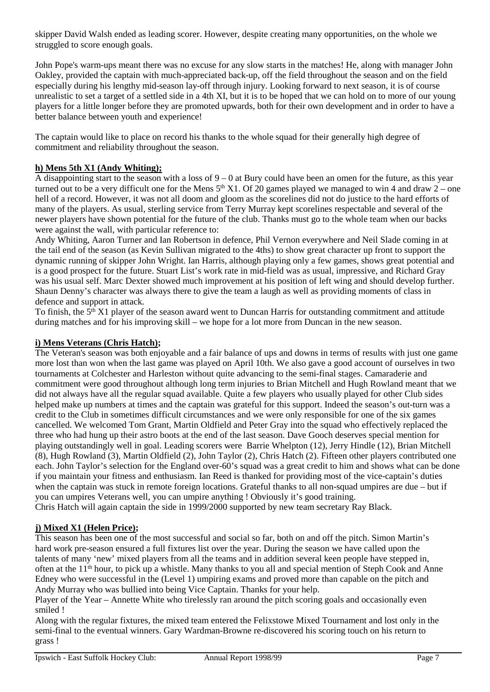skipper David Walsh ended as leading scorer. However, despite creating many opportunities, on the whole we struggled to score enough goals.

John Pope's warm-ups meant there was no excuse for any slow starts in the matches! He, along with manager John Oakley, provided the captain with much-appreciated back-up, off the field throughout the season and on the field especially during his lengthy mid-season lay-off through injury. Looking forward to next season, it is of course unrealistic to set a target of a settled side in a 4th XI, but it is to be hoped that we can hold on to more of our young players for a little longer before they are promoted upwards, both for their own development and in order to have a better balance between youth and experience!

The captain would like to place on record his thanks to the whole squad for their generally high degree of commitment and reliability throughout the season.

#### **h) Mens 5th X1 (Andy Whiting);**

A disappointing start to the season with a loss of  $9 - 0$  at Bury could have been an omen for the future, as this year turned out to be a very difficult one for the Mens  $5<sup>th</sup> X1$ . Of 20 games played we managed to win 4 and draw  $2$  – one hell of a record. However, it was not all doom and gloom as the scorelines did not do justice to the hard efforts of many of the players. As usual, sterling service from Terry Murray kept scorelines respectable and several of the newer players have shown potential for the future of the club. Thanks must go to the whole team when our backs were against the wall, with particular reference to:

Andy Whiting, Aaron Turner and Ian Robertson in defence, Phil Vernon everywhere and Neil Slade coming in at the tail end of the season (as Kevin Sullivan migrated to the 4ths) to show great character up front to support the dynamic running of skipper John Wright. Ian Harris, although playing only a few games, shows great potential and is a good prospect for the future. Stuart List's work rate in mid-field was as usual, impressive, and Richard Gray was his usual self. Marc Dexter showed much improvement at his position of left wing and should develop further. Shaun Denny's character was always there to give the team a laugh as well as providing moments of class in defence and support in attack.

To finish, the  $5<sup>th</sup> X1$  player of the season award went to Duncan Harris for outstanding commitment and attitude during matches and for his improving skill – we hope for a lot more from Duncan in the new season.

#### **i) Mens Veterans (Chris Hatch);**

The Veteran's season was both enjoyable and a fair balance of ups and downs in terms of results with just one game more lost than won when the last game was played on April 10th. We also gave a good account of ourselves in two tournaments at Colchester and Harleston without quite advancing to the semi-final stages. Camaraderie and commitment were good throughout although long term injuries to Brian Mitchell and Hugh Rowland meant that we did not always have all the regular squad available. Quite a few players who usually played for other Club sides helped make up numbers at times and the captain was grateful for this support. Indeed the season's out-turn was a credit to the Club in sometimes difficult circumstances and we were only responsible for one of the six games cancelled. We welcomed Tom Grant, Martin Oldfield and Peter Gray into the squad who effectively replaced the three who had hung up their astro boots at the end of the last season. Dave Gooch deserves special mention for playing outstandingly well in goal. Leading scorers were Barrie Whelpton (12), Jerry Hindle (12), Brian Mitchell (8), Hugh Rowland (3), Martin Oldfield (2), John Taylor (2), Chris Hatch (2). Fifteen other players contributed one each. John Taylor's selection for the England over-60's squad was a great credit to him and shows what can be done if you maintain your fitness and enthusiasm. Ian Reed is thanked for providing most of the vice-captain's duties when the captain was stuck in remote foreign locations. Grateful thanks to all non-squad umpires are due – but if you can umpires Veterans well, you can umpire anything ! Obviously it's good training.

Chris Hatch will again captain the side in 1999/2000 supported by new team secretary Ray Black.

#### **j) Mixed X1 (Helen Price);**

This season has been one of the most successful and social so far, both on and off the pitch. Simon Martin's hard work pre-season ensured a full fixtures list over the year. During the season we have called upon the talents of many 'new' mixed players from all the teams and in addition several keen people have stepped in, often at the 11th hour, to pick up a whistle. Many thanks to you all and special mention of Steph Cook and Anne Edney who were successful in the (Level 1) umpiring exams and proved more than capable on the pitch and Andy Murray who was bullied into being Vice Captain. Thanks for your help.

Player of the Year – Annette White who tirelessly ran around the pitch scoring goals and occasionally even smiled !

Along with the regular fixtures, the mixed team entered the Felixstowe Mixed Tournament and lost only in the semi-final to the eventual winners. Gary Wardman-Browne re-discovered his scoring touch on his return to grass !